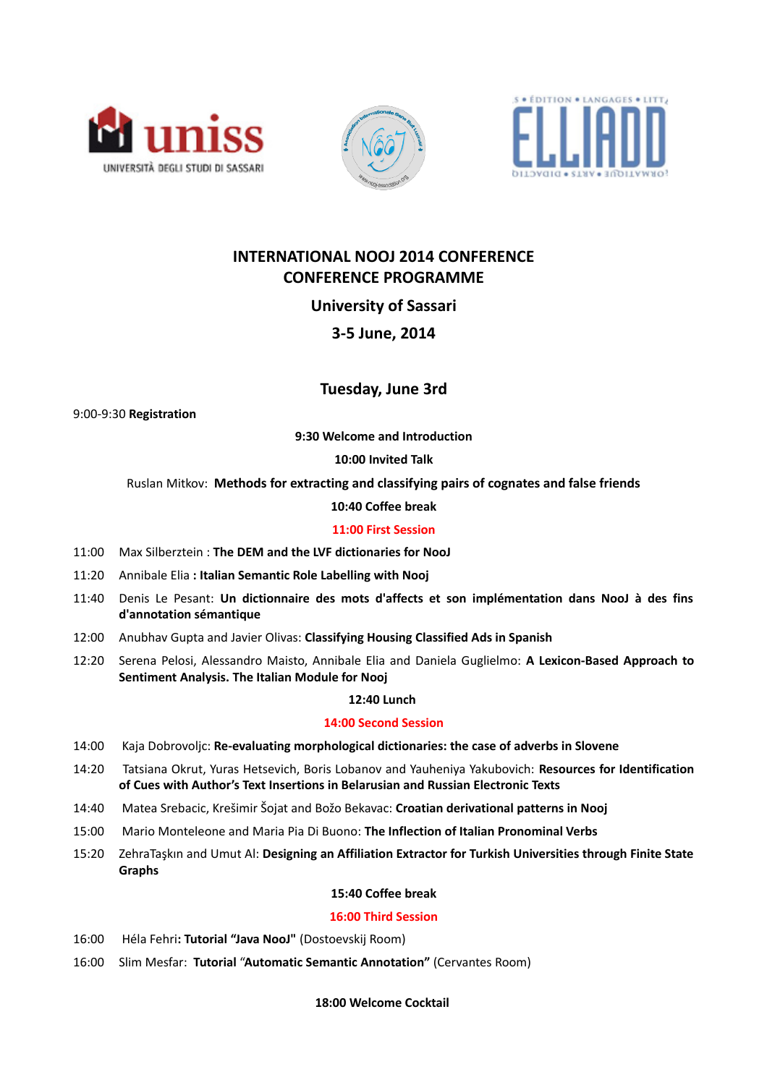





# **INTERNATIONAL NOOJ 2014 CONFERENCE CONFERENCE PROGRAMME**

**University of Sassari**

# **3-5 June, 2014**

# **Tuesday, June 3rd**

9:00-9:30 **Registration**

**9:30 Welcome and Introduction**

**10:00 Invited Talk**

Ruslan Mitkov: **Methods for extracting and classifying pairs of cognates and false friends**

**10:40 Coffee break**

# **11:00 First Session**

- 11:00 Max Silberztein : **The DEM and the LVF dictionaries for NooJ**
- 11:20 Annibale Elia **: Italian Semantic Role Labelling with Nooj**
- 11:40 Denis Le Pesant: **Un dictionnaire des mots d'affects et son implémentation dans NooJ à des fins d'annotation sémantique**
- 12:00 Anubhav Gupta and Javier Olivas: **Classifying Housing Classified Ads in Spanish**
- 12:20 Serena Pelosi, Alessandro Maisto, Annibale Elia and Daniela Guglielmo: **A Lexicon-Based Approach to Sentiment Analysis. The Italian Module for Nooj**

### **12:40 Lunch**

### **14:00 Second Session**

- 14:00 Kaja Dobrovoljc: **Re-evaluating morphological dictionaries: the case of adverbs in Slovene**
- 14:20 Tatsiana Okrut, Yuras Hetsevich, Boris Lobanov and Yauheniya Yakubovich: **Resources for Identification of Cues with Author's Text Insertions in Belarusian and Russian Electronic Texts**
- 14:40 Matea Srebacic, Krešimir Šojat and Božo Bekavac: **Croatian derivational patterns in Nooj**
- 15:00 Mario Monteleone and Maria Pia Di Buono: **The Inflection of Italian Pronominal Verbs**
- 15:20 ZehraTaşkın and Umut Al: **Designing an Affiliation Extractor for Turkish Universities through Finite State Graphs**

### **15:40 Coffee break**

### **16:00 Third Session**

- 16:00 Héla Fehri**: Tutorial "Java NooJ"** (Dostoevskij Room)
- 16:00 Slim Mesfar: **Tutorial** "**Automatic Semantic Annotation"** (Cervantes Room)

### **18:00 Welcome Cocktail**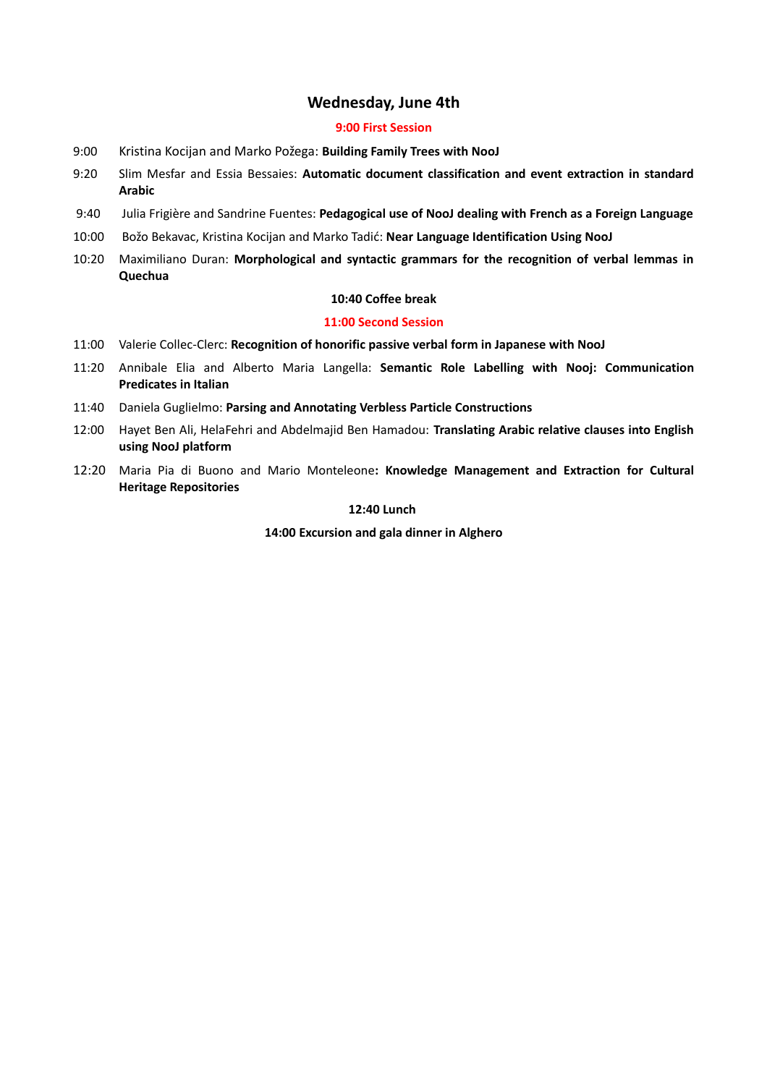# **Wednesday, June 4th**

# **9:00 First Session**

- 9:00 Kristina Kocijan and Marko Požega: **Building Family Trees with NooJ**
- 9:20 Slim Mesfar and Essia Bessaies: **Automatic document classification and event extraction in standard Arabic**
- 9:40 Julia Frigière and Sandrine Fuentes: **Pedagogical use of NooJ dealing with French as a Foreign Language**
- 10:00 Božo Bekavac, Kristina Kocijan and Marko Tadić: **Near Language Identification Using NooJ**
- 10:20 Maximiliano Duran: **Morphological and syntactic grammars for the recognition of verbal lemmas in Quechua**

# **10:40 Coffee break**

# **11:00 Second Session**

- 11:00 Valerie Collec-Clerc: **Recognition of honorific passive verbal form in Japanese with NooJ**
- 11:20 Annibale Elia and Alberto Maria Langella: **Semantic Role Labelling with Nooj: Communication Predicates in Italian**
- 11:40 Daniela Guglielmo: **Parsing and Annotating Verbless Particle Constructions**
- 12:00 Hayet Ben Ali, HelaFehri and Abdelmajid Ben Hamadou: **Translating Arabic relative clauses into English using NooJ platform**
- 12:20 Maria Pia di Buono and Mario Monteleone**: Knowledge Management and Extraction for Cultural Heritage Repositories**

# **12:40 Lunch**

**14:00 Excursion and gala dinner in Alghero**